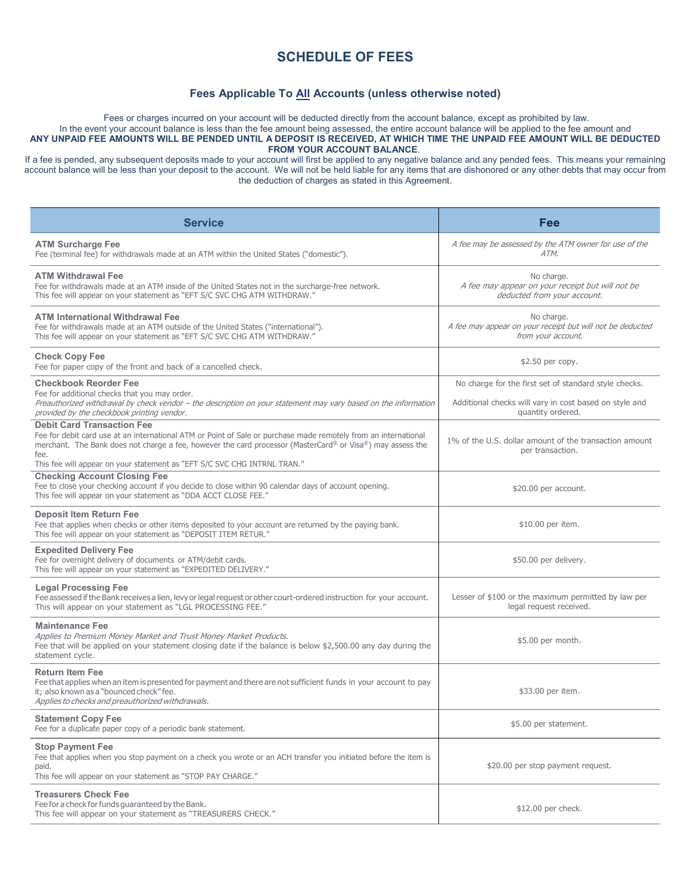## **SCHEDULE OF FEES**

## **Fees Applicable To All Accounts (unless otherwise noted)**

Fees or charges incurred on your account will be deducted directly from the account balance, except as prohibited by law. In the event your account balance is less than the fee amount being assessed, the entire account balance will be applied to the fee amount and **ANY UNPAID FEE AMOUNTS WILL BE PENDED UNTIL A DEPOSIT IS RECEIVED, AT WHICH TIME THE UNPAID FEE AMOUNT WILL BE DEDUCTED FROM YOUR ACCOUNT BALANCE**.

If a fee is pended, any subsequent deposits made to your account will first be applied to any negative balance and any pended fees. This means your remaining account balance will be less than your deposit to the account. We will not be held liable for any items that are dishonored or any other debts that may occur from the deduction of charges as stated in this Agreement.

| <b>Service</b>                                                                                                                                                                                                                                                                                                                                         | Fee                                                                                                                                  |
|--------------------------------------------------------------------------------------------------------------------------------------------------------------------------------------------------------------------------------------------------------------------------------------------------------------------------------------------------------|--------------------------------------------------------------------------------------------------------------------------------------|
| <b>ATM Surcharge Fee</b><br>Fee (terminal fee) for withdrawals made at an ATM within the United States ("domestic").                                                                                                                                                                                                                                   | A fee may be assessed by the ATM owner for use of the<br>ATM.                                                                        |
| <b>ATM Withdrawal Fee</b><br>Fee for withdrawals made at an ATM inside of the United States not in the surcharge-free network.<br>This fee will appear on your statement as "EFT S/C SVC CHG ATM WITHDRAW."                                                                                                                                            | No charge.<br>A fee may appear on your receipt but will not be<br>deducted from your account.                                        |
| <b>ATM International Withdrawal Fee</b><br>Fee for withdrawals made at an ATM outside of the United States ("international").<br>This fee will appear on your statement as "EFT S/C SVC CHG ATM WITHDRAW."                                                                                                                                             | No charge.<br>A fee may appear on your receipt but will not be deducted<br>from your account.                                        |
| <b>Check Copy Fee</b><br>Fee for paper copy of the front and back of a cancelled check.                                                                                                                                                                                                                                                                | \$2.50 per copy.                                                                                                                     |
| <b>Checkbook Reorder Fee</b><br>Fee for additional checks that you may order.<br>Preauthorized withdrawal by check vendor - the description on your statement may vary based on the information<br>provided by the checkbook printing vendor.                                                                                                          | No charge for the first set of standard style checks.<br>Additional checks will vary in cost based on style and<br>quantity ordered. |
| <b>Debit Card Transaction Fee</b><br>Fee for debit card use at an international ATM or Point of Sale or purchase made remotely from an international<br>merchant. The Bank does not charge a fee, however the card processor (MasterCard® or Visa®) may assess the<br>fee.<br>This fee will appear on your statement as "EFT S/C SVC CHG INTRNL TRAN." | 1% of the U.S. dollar amount of the transaction amount<br>per transaction.                                                           |
| <b>Checking Account Closing Fee</b><br>Fee to close your checking account if you decide to close within 90 calendar days of account opening.<br>This fee will appear on your statement as "DDA ACCT CLOSE FEE."                                                                                                                                        | \$20.00 per account.                                                                                                                 |
| <b>Deposit Item Return Fee</b><br>Fee that applies when checks or other items deposited to your account are returned by the paying bank.<br>This fee will appear on your statement as "DEPOSIT ITEM RETUR."                                                                                                                                            | \$10.00 per item.                                                                                                                    |
| <b>Expedited Delivery Fee</b><br>Fee for overnight delivery of documents or ATM/debit cards.<br>This fee will appear on your statement as "EXPEDITED DELIVERY."                                                                                                                                                                                        | \$50.00 per delivery.                                                                                                                |
| <b>Legal Processing Fee</b><br>Fee assessed if the Bank receives a lien, levy or legal request or other court-ordered instruction for your account.<br>This will appear on your statement as "LGL PROCESSING FEE."                                                                                                                                     | Lesser of \$100 or the maximum permitted by law per<br>legal request received.                                                       |
| <b>Maintenance Fee</b><br>Applies to Premium Money Market and Trust Money Market Products.<br>Fee that will be applied on your statement closing date if the balance is below \$2,500.00 any day during the<br>statement cycle.                                                                                                                        | \$5.00 per month.                                                                                                                    |
| <b>Return Item Fee</b><br>Fee that applies when an item is presented for payment and there are not sufficient funds in your account to pay<br>it: also known as a "bounced check" fee.<br>Applies to checks and preauthorized withdrawals.                                                                                                             | \$33.00 per item.                                                                                                                    |
| <b>Statement Copy Fee</b><br>Fee for a duplicate paper copy of a periodic bank statement.                                                                                                                                                                                                                                                              | \$5.00 per statement.                                                                                                                |
| <b>Stop Payment Fee</b><br>Fee that applies when you stop payment on a check you wrote or an ACH transfer you initiated before the item is<br>paid.<br>This fee will appear on your statement as "STOP PAY CHARGE."                                                                                                                                    | \$20.00 per stop payment request.                                                                                                    |
| <b>Treasurers Check Fee</b><br>Fee for a check for funds guaranteed by the Bank.<br>This fee will appear on your statement as "TREASURERS CHECK."                                                                                                                                                                                                      | \$12.00 per check.                                                                                                                   |